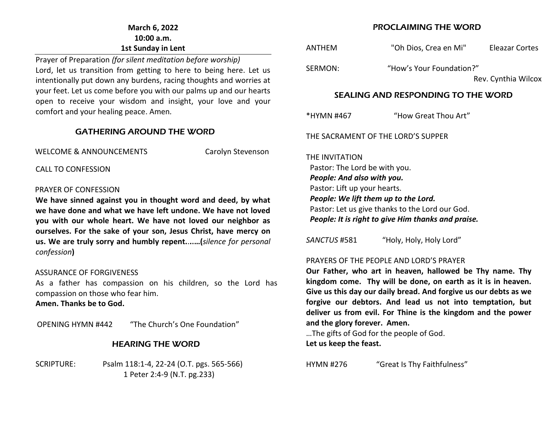## **March 6, 2022 10:00 a.m. 1st Sunday in Lent**

Prayer of Preparation *(for silent meditation before worship)* Lord, let us transition from getting to here to being here. Let us intentionally put down any burdens, racing thoughts and worries at your feet. Let us come before you with our palms up and our hearts open to receive your wisdom and insight, your love and your comfort and your healing peace. Amen*.* 

#### GATHERING AROUND THE WORD

WELCOME & ANNOUNCEMENTS Carolyn Stevenson

CALL TO CONFESSION

#### PRAYER OF CONFESSION

**We have sinned against you in thought word and deed, by what we have done and what we have left undone. We have not loved you with our whole heart. We have not loved our neighbor as ourselves. For the sake of your son, Jesus Christ, have mercy on us. We are truly sorry and humbly repent.**.**..…(***silence for personal confession***)**

#### ASSURANCE OF FORGIVENESS

As a father has compassion on his children, so the Lord has compassion on those who fear him.

**Amen. Thanks be to God.**

OPENING HYMN #442 "The Church's One Foundation"

## HEARING THE WORD

SCRIPTURE: Psalm 118:1-4, 22-24 (O.T. pgs. 565-566) 1 Peter 2:4-9 (N.T. pg.233)

#### PROCLAIMING THE WORD

ANTHEM "Oh Dios, Crea en Mi" Eleazar Cortes SERMON: "How's Your Foundation?" Rev. Cynthia Wilcox

#### SEALING AND RESPONDING TO THE WORD

\*HYMN #467 "How Great Thou Art"

THE SACRAMENT OF THE LORD'S SUPPER

THE INVITATION Pastor: The Lord be with you. *People: And also with you.* Pastor: Lift up your hearts. *People: We lift them up to the Lord.* Pastor: Let us give thanks to the Lord our God. *People: It is right to give Him thanks and praise.*

*SANCTUS* #581 "Holy, Holy, Holy Lord"

#### PRAYERS OF THE PEOPLE AND LORD'S PRAYER

**Our Father, who art in heaven, hallowed be Thy name. Thy kingdom come. Thy will be done, on earth as it is in heaven. Give us this day our daily bread. And forgive us our debts as we forgive our debtors. And lead us not into temptation, but deliver us from evil. For Thine is the kingdom and the power and the glory forever. Amen.**

…The gifts of God for the people of God. **Let us keep the feast.**

HYMN #276 "Great Is Thy Faithfulness"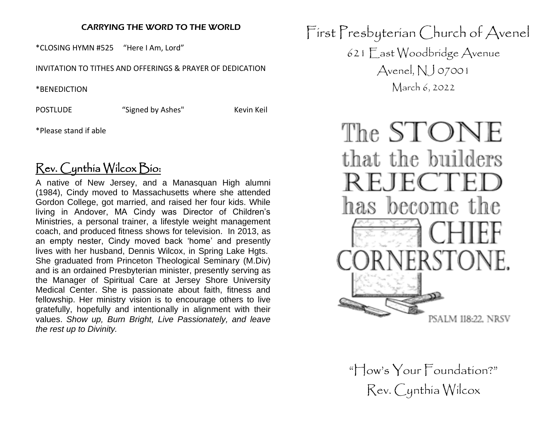## CARRYING THE WORD TO THE WORLD

\*CLOSING HYMN #525 "Here I Am, Lord"

INVITATION TO TITHES AND OFFERINGS & PRAYER OF DEDICATION

\*BENEDICTION

POSTLUDE "Signed by Ashes" Kevin Keil

\*Please stand if able

# Rev. Cynthia Wilcox Bio:

A native of New Jersey, and a Manasquan High alumni (1984), Cindy moved to Massachusetts where she attended Gordon College, got married, and raised her four kids. While living in Andover, MA Cindy was Director of Children's Ministries, a personal trainer, a lifestyle weight management coach, and produced fitness shows for television. In 2013, as an empty nester, Cindy moved back 'home' and presently lives with her husband, Dennis Wilcox, in Spring Lake Hgts. She graduated from Princeton Theological Seminary (M.Div) and is an ordained Presbyterian minister, presently serving as the Manager of Spiritual Care at Jersey Shore University Medical Center. She is passionate about faith, fitness and fellowship. Her ministry vision is to encourage others to live gratefully, hopefully and intentionally in alignment with their values. *Show up, Burn Bright, Live Passionately, and leave the rest up to Divinity.*

First Presbyterian Church of Avenel 621 East Woodbridge Avenue Avenel,  $NJ$  07001 March 6, 2022



"How's Your Foundation?" Rev. Cynthia Wilcox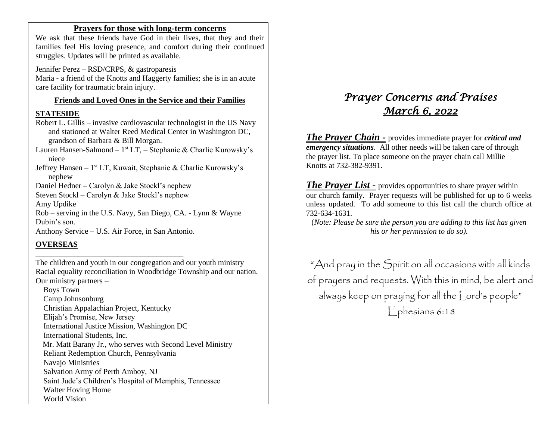#### **Prayers for those with long-term concerns**

We ask that these friends have God in their lives, that they and their families feel His loving presence, and comfort during their continued struggles. Updates will be printed as available.

Jennifer Perez – RSD/CRPS, & gastroparesis Maria - a friend of the Knotts and Haggerty families; she is in an acute care facility for traumatic brain injury.

#### **Friends and Loved Ones in the Service and their Families**

#### **STATESIDE**

Robert L. Gillis – invasive cardiovascular technologist in the US Navy and stationed at Walter Reed Medical Center in Washington DC, grandson of Barbara & Bill Morgan.

Lauren Hansen-Salmond – 1<sup>st</sup> LT, – Stephanie & Charlie Kurowsky's niece

Jeffrey Hansen - 1<sup>st</sup> LT, Kuwait, Stephanie & Charlie Kurowsky's nephew

Daniel Hedner – Carolyn & Jake Stockl's nephew

Steven Stockl – Carolyn & Jake Stockl's nephew

Amy Updike

Rob – serving in the U.S. Navy, San Diego, CA. - Lynn & Wayne Dubin's son.

Anthony Service – U.S. Air Force, in San Antonio.

\_\_\_\_\_\_\_\_\_\_\_\_\_\_\_\_\_\_\_\_\_\_\_\_\_\_\_\_\_\_\_\_\_\_\_\_\_\_

#### **OVERSEAS**

The children and youth in our congregation and our youth ministry Racial equality reconciliation in Woodbridge Township and our nation. Our ministry partners –

 Boys Town Camp Johnsonburg Christian Appalachian Project, Kentucky Elijah's Promise, New Jersey International Justice Mission, Washington DC International Students, Inc. Mr. Matt Barany Jr., who serves with Second Level Ministry Reliant Redemption Church, Pennsylvania Navajo Ministries Salvation Army of Perth Amboy, NJ Saint Jude's Children's Hospital of Memphis, Tennessee Walter Hoving Home World Vision

# *Prayer Concerns and Praises March 6, 2022*

*The Prayer Chain -* provides immediate prayer for *critical and emergency situations*. All other needs will be taken care of through the prayer list. To place someone on the prayer chain call Millie Knotts at 732-382-9391.

*The Prayer List -* provides opportunities to share prayer within our church family. Prayer requests will be published for up to 6 weeks unless updated. To add someone to this list call the church office at 732-634-1631.

(*Note: Please be sure the person you are adding to this list has given his or her permission to do so).*

"And pray in the Spirit on all occasions with all kinds of prayers and requests. With this in mind, be alert and always keep on praying for all the Lord's people" Ephesians 6:18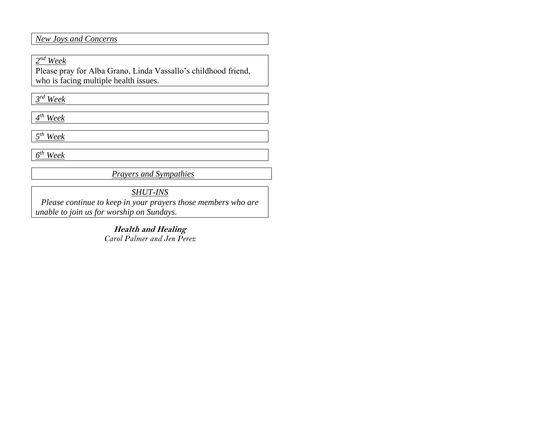*New Joys and Concerns*

*2 nd Week*

Please pray for Alba Grano, Linda Vassallo's childhood friend, who is facing multiple health issues.

*3 rd Week*

*4 th Week*

*5 th Week*

*6 th Week* 

*Prayers and Sympathies*

*SHUT-INS*

*Please continue to keep in your prayers those members who are unable to join us for worship on Sundays.* 

> **Health and Healing** *Carol Palmer and Jen Perez*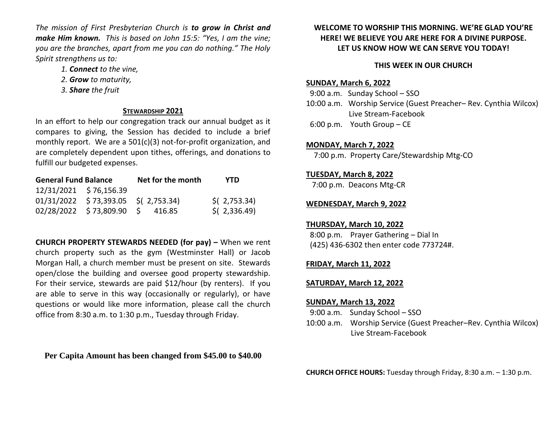*The mission of First Presbyterian Church is to grow in Christ and make Him known. This is based on John 15:5: "Yes, I am the vine; you are the branches, apart from me you can do nothing." The Holy Spirit strengthens us to:* 

- *1. Connect to the vine,*
- *2. Grow to maturity,*
- *3. Share the fruit*

#### **STEWARDSHIP 2021**

In an effort to help our congregation track our annual budget as it compares to giving, the Session has decided to include a brief monthly report. We are a 501(c)(3) not-for-profit organization, and are completely dependent upon tithes, offerings, and donations to fulfill our budgeted expenses.

| <b>General Fund Balance</b> |                                       | Net for the month | YTD            |
|-----------------------------|---------------------------------------|-------------------|----------------|
|                             | 12/31/2021 \$76,156.39                |                   |                |
|                             | $01/31/2022$ \$73,393.05 \$(2,753.34) |                   | $$$ (2,753.34) |
|                             | 02/28/2022 \$73,809.90 \$ 416.85      |                   | $$$ (2,336.49) |

**CHURCH PROPERTY STEWARDS NEEDED (for pay) –** When we rent church property such as the gym (Westminster Hall) or Jacob Morgan Hall, a church member must be present on site. Stewards open/close the building and oversee good property stewardship. For their service, stewards are paid \$12/hour (by renters). If you are able to serve in this way (occasionally or regularly), or have questions or would like more information, please call the church office from 8:30 a.m. to 1:30 p.m., Tuesday through Friday.

**Per Capita Amount has been changed from \$45.00 to \$40.00**

## **WELCOME TO WORSHIP THIS MORNING. WE'RE GLAD YOU'RE HERE! WE BELIEVE YOU ARE HERE FOR A DIVINE PURPOSE. LET US KNOW HOW WE CAN SERVE YOU TODAY!**

## **THIS WEEK IN OUR CHURCH**

#### **SUNDAY, March 6, 2022**

 9:00 a.m. Sunday School – SSO 10:00 a.m. Worship Service (Guest Preacher– Rev. Cynthia Wilcox) Live Stream-Facebook

6:00 p.m. Youth Group – CE

## **MONDAY, March 7, 2022**

7:00 p.m. Property Care/Stewardship Mtg-CO

## **TUESDAY, March 8, 2022**

7:00 p.m. Deacons Mtg-CR

## **WEDNESDAY, March 9, 2022**

#### **THURSDAY, March 10, 2022**

 8:00 p.m. Prayer Gathering – Dial In (425) 436-6302 then enter code 773724#.

## **FRIDAY, March 11, 2022**

#### **SATURDAY, March 12, 2022**

#### **SUNDAY, March 13, 2022**

- 9:00 a.m. Sunday School SSO
- 10:00 a.m. Worship Service (Guest Preacher–Rev. Cynthia Wilcox) Live Stream-Facebook

**CHURCH OFFICE HOURS:** Tuesday through Friday, 8:30 a.m. – 1:30 p.m.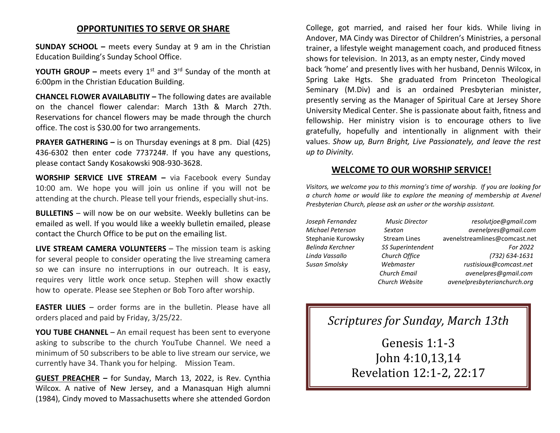# **OPPORTUNITIES TO SERVE OR SHARE**

**SUNDAY SCHOOL –** meets every Sunday at 9 am in the Christian Education Building's Sunday School Office.

**YOUTH GROUP –** meets every 1<sup>st</sup> and 3<sup>rd</sup> Sunday of the month at 6:00pm in the Christian Education Building.

**CHANCEL FLOWER AVAILABLITIY –** The following dates are available on the chancel flower calendar: March 13th & March 27th. Reservations for chancel flowers may be made through the church office. The cost is \$30.00 for two arrangements.

**PRAYER GATHERING –** is on Thursday evenings at 8 pm. Dial (425) 436-6302 then enter code 773724#. If you have any questions, please contact Sandy Kosakowski 908-930-3628.

**WORSHIP SERVICE LIVE STREAM –** via Facebook every Sunday 10:00 am. We hope you will join us online if you will not be attending at the church. Please tell your friends, especially shut-ins.

**BULLETINS** – will now be on our website. Weekly bulletins can be emailed as well. If you would like a weekly bulletin emailed, please contact the Church Office to be put on the emailing list.

**LIVE STREAM CAMERA VOLUNTEERS** – The mission team is asking for several people to consider operating the live streaming camera so we can insure no interruptions in our outreach. It is easy, requires very little work once setup. Stephen will show exactly how to operate. Please see Stephen or Bob Toro after worship.

**EASTER LILIES** – order forms are in the bulletin. Please have all orders placed and paid by Friday, 3/25/22.

**YOU TUBE CHANNEL** – An email request has been sent to everyone asking to subscribe to the church YouTube Channel. We need a minimum of 50 subscribers to be able to live stream our service, we currently have 34. Thank you for helping. Mission Team.

**GUEST PREACHER –** for Sunday, March 13, 2022, is Rev. Cynthia Wilcox. A native of New Jersey, and a Manasquan High alumni (1984), Cindy moved to Massachusetts where she attended Gordon College, got married, and raised her four kids. While living in Andover, MA Cindy was Director of Children's Ministries, a personal trainer, a lifestyle weight management coach, and produced fitness shows for television. In 2013, as an empty nester, Cindy moved back 'home' and presently lives with her husband, Dennis Wilcox, in Spring Lake Hgts. She graduated from Princeton Theological Seminary (M.Div) and is an ordained Presbyterian minister, presently serving as the Manager of Spiritual Care at Jersey Shore University Medical Center. She is passionate about faith, fitness and fellowship. Her ministry vision is to encourage others to live gratefully, hopefully and intentionally in alignment with their values. *Show up, Burn Bright, Live Passionately, and leave the rest up to Divinity.*

#### **WELCOME TO OUR WORSHIP SERVICE!**

*Visitors, we welcome you to this morning's time of worship. If you are looking for a church home or would like to explore the meaning of membership at Avenel Presbyterian Church, please ask an usher or the worship assistant.* 

*Joseph Fernandez Music Director resolutjoe@gmail.com Michael Peterson Sexton avenelpres@gmail.com* Stephanie Kurowsky Stream Lines [avenelstreamlines@comcast.net](mailto:avenelstreamlines@comcast.net) *Belinda Kerchner SS Superintendent For 2022 Linda Vassallo Church Office (732) 634-1631 Susan Smolsky Webmaster rustisioux@comcast.net Church Email avenelpres@gmail.com Church Website avenelpresbyterianchurch.org*

# *Scriptures for Sunday, March 13th*

Genesis 1:1-3 John 4:10,13,14 Revelation 12:1-2, 22:17